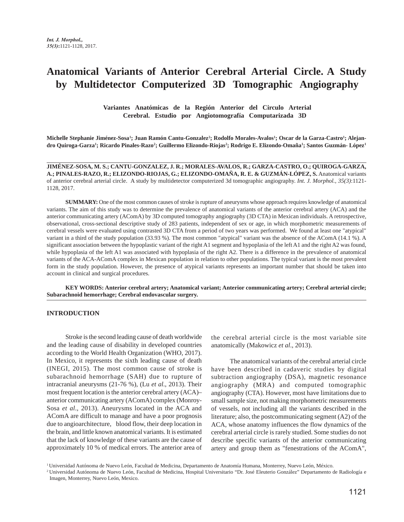# **Anatomical Variants of Anterior Cerebral Arterial Circle. A Study by Multidetector Computerized 3D Tomographic Angiography**

 **Variantes Anatómicas de la Región Anterior del Circulo Arterial Cerebral. Estudio por Angiotomografía Computarizada 3D**

Michelle Stephanie Jiménez-Sosa<sup>1</sup>; Juan Ramón Cantu-Gonzalez<sup>2</sup>; Rodolfo Morales-Avalos<sup>1</sup>; Oscar de la Garza-Castro<sup>1</sup>; Alejandro Quiroga-Garza<sup>1</sup>; Ricardo Pinales-Razo<sup>2</sup>; Guillermo Elizondo-Riojas<sup>2</sup>; Rodrigo E. Elizondo-Omaña<sup>1</sup>; Santos Guzmán- López<sup>1</sup>

**JIMÉNEZ-SOSA, M. S.; CANTU-GONZALEZ, J. R.; MORALES-AVALOS, R.; GARZA-CASTRO, O.; QUIROGA-GARZA, A.; PINALES-RAZO, R.; ELIZONDO-RIOJAS, G.; ELIZONDO-OMAÑA, R. E. & GUZMÁN-LÓPEZ, S.** Anatomical variants of anterior cerebral arterial circle. A study by multidetector computerized 3d tomographic angiography. *Int. J. Morphol., 35(3)*:1121- 1128, 2017.

**SUMMARY:** One of the most common causes of stroke is rupture of aneurysms whose approach requires knowledge of anatomical variants. The aim of this study was to determine the prevalence of anatomical variants of the anterior cerebral artery (ACA) and the anterior communicating artery (AComA) by 3D computed tomography angiography (3D CTA) in Mexican individuals. A retrospective, observational, cross-sectional descriptive study of 283 patients, independent of sex or age, in which morphometric measurements of cerebral vessels were evaluated using contrasted 3D CTA from a period of two years was performed. We found at least one "atypical" variant in a third of the study population (33.93 %). The most common "atypical" variant was the absence of the AComA (14.1 %). A significant association between the hypoplastic variant of the right A1 segment and hypoplasia of the left A1 and the right A2 was found, while hypoplasia of the left A1 was associated with hypoplasia of the right A2. There is a difference in the prevalence of anatomical variants of the ACA-AComA complex in Mexican population in relation to other populations. The typical variant is the most prevalent form in the study population. However, the presence of atypical variants represents an important number that should be taken into account in clinical and surgical procedures.

**KEY WORDS: Anterior cerebral artery; Anatomical variant; Anterior communicating artery; Cerebral arterial circle; Subarachnoid hemorrhage; Cerebral endovascular surgery.**

## **INTRODUCTION**

Stroke is the second leading cause of death worldwide and the leading cause of disability in developed countries according to the World Health Organization (WHO, 2017). In Mexico, it represents the sixth leading cause of death (INEGI, 2015). The most common cause of stroke is subarachnoid hemorrhage (SAH) due to rupture of intracranial aneurysms (21-76 %), (Lu *et al*., 2013). Their most frequent location is the anterior cerebral artery (ACA)– anterior communicating artery (AComA) complex (Monroy-Sosa *et al*., 2013). Aneurysms located in the ACA and AComA are difficult to manage and have a poor prognosis due to angioarchitecture, blood flow, their deep location in the brain, and little known anatomical variants. It is estimated that the lack of knowledge of these variants are the cause of approximately 10 % of medical errors. The anterior area of the cerebral arterial circle is the most variable site anatomically (Makowicz *et al*., 2013).

The anatomical variants of the cerebral arterial circle have been described in cadaveric studies by digital subtraction angiography (DSA), magnetic resonance angiography (MRA) and computed tomographic angiography (CTA). However, most have limitations due to small sample size, not making morphometric measurements of vessels, not including all the variants described in the literature; also, the postcommunicating segment (A2) of the ACA, whose anatomy influences the flow dynamics of the cerebral arterial circle is rarely studied. Some studies do not describe specific variants of the anterior communicating artery and group them as "fenestrations of the AComA",

<sup>1</sup> Universidad Autónoma de Nuevo León, Facultad de Medicina, Departamento de Anatomía Humana, Monterrey, Nuevo León, México.

<sup>2</sup> Universidad Autónoma de Nuevo León, Facultad de Medicina, Hospital Universitario "Dr. José Eleuterio González" Departamento de Radiología e Imagen, Monterrey, Nuevo León, Mexico.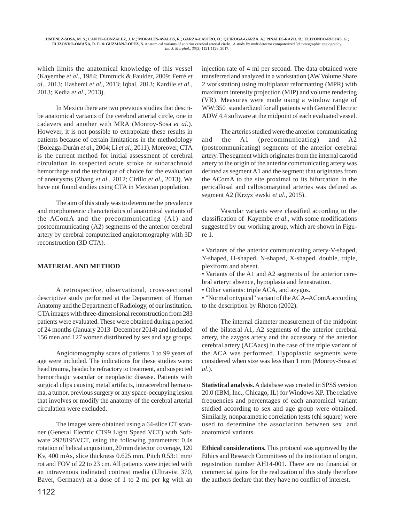which limits the anatomical knowledge of this vessel (Kayembe *et al*., 1984; Dimmick & Faulder, 2009; Ferré *et al*., 2013; Hashemi *et al*., 2013; Iqbal, 2013; Kardile *et al*., 2013; Kedia *et al*., 2013).

In Mexico there are two previous studies that describe anatomical variants of the cerebral arterial circle, one in cadavers and another with MRA (Monroy-Sosa *et al*.). However, it is not possible to extrapolate these results in patients because of certain limitations in the methodology (Boleaga-Durán *et al*., 2004; Li *et al*., 2011). Moreover, CTA is the current method for initial assessment of cerebral circulation in suspected acute stroke or subarachnoid hemorrhage and the technique of choice for the evaluation of aneurysms (Zhang *et al*., 2012; Cirillo *et al*., 2013). We have not found studies using CTA in Mexican population.

The aim of this study was to determine the prevalence and morphometric characteristics of anatomical variants of the AComA and the precommunicating (A1) and postcommunicating (A2) segments of the anterior cerebral artery by cerebral computerized angiotomography with 3D reconstruction (3D CTA).

# **MATERIAL AND METHOD**

A retrospective, observational, cross-sectional descriptive study performed at the Department of Human Anatomy and the Department of Radiology, of our institution. CTA images with three-dimensional reconstruction from 283 patients were evaluated. These were obtained during a period of 24 months (January 2013–December 2014) and included 156 men and 127 women distributed by sex and age groups.

Angiotomography scans of patients 1 to 99 years of age were included. The indications for these studies were: head trauma, headache refractory to treatment, and suspected hemorrhagic vascular or neoplastic disease. Patients with surgical clips causing metal artifacts, intracerebral hematoma, a tumor, previous surgery or any space-occupying lesion that involves or modify the anatomy of the cerebral arterial circulation were excluded.

The images were obtained using a 64-slice CT scanner (General Electric CT99 Light Speed VCT) with Software 2978195VCT, using the following parameters: 0.4s rotation of helical acquisition, 20 mm detector coverage, 120 Kv, 400 mAs, slice thickness 0.625 mm, Pitch 0.53:1 mm/ rot and FOV of 22 to 23 cm. All patients were injected with an intravenous iodinated contrast media (Ultravist 370, Bayer, Germany) at a dose of 1 to 2 ml per kg with an

injection rate of 4 ml per second. The data obtained were transferred and analyzed in a workstation (AW Volume Share 2 workstation) using multiplanar reformatting (MPR) with maximum intensity projection (MIP) and volume rendering (VR). Measures were made using a window range of WW:350 standardized for all patients with General Electric ADW 4.4 software at the midpoint of each evaluated vessel.

The arteries studied were the anterior communicating and the A1 (precommunicating) and A2 (postcommunicating) segments of the anterior cerebral artery. The segment which originates from the internal carotid artery to the origin of the anterior communicating artery was defined as segment A1 and the segment that originates from the AComA to the site proximal to its bifurcation in the pericallosal and callosomarginal arteries was defined as segment A2 (Krzyz˙ewski *et al*., 2015).

Vascular variants were classified according to the classification of Kayembe *et al*., with some modifications suggested by our working group, which are shown in Figure 1.

• Variants of the anterior communicating artery-V-shaped, Y-shaped, H-shaped, N-shaped, X-shaped, double, triple, plexiform and absent.

• Variants of the A1 and A2 segments of the anterior cerebral artery: absence, hypoplasia and fenestration.

• Other variants: triple ACA, and azygos.

• "Normal or typical" variant of the ACA–AComA according to the description by Rhoton (2002).

The internal diameter measurement of the midpoint of the bilateral A1, A2 segments of the anterior cerebral artery, the azygos artery and the accessory of the anterior cerebral artery (ACAacs) in the case of the triple variant of the ACA was performed. Hypoplastic segments were considered when size was less than 1 mm (Monroy-Sosa *et al*.).

**Statistical analysis.** A database was created in SPSS version 20.0 (IBM, Inc., Chicago, IL) for Windows XP. The relative frequencies and percentages of each anatomical variant studied according to sex and age group were obtained. Similarly, nonparametric correlation tests (chi square) were used to determine the association between sex and anatomical variants.

**Ethical considerations.** This protocol was approved by the Ethics and Research Committees of the institution of origin, registration number AH14-001. There are no financial or commercial gains for the realization of this study therefore the authors declare that they have no conflict of interest.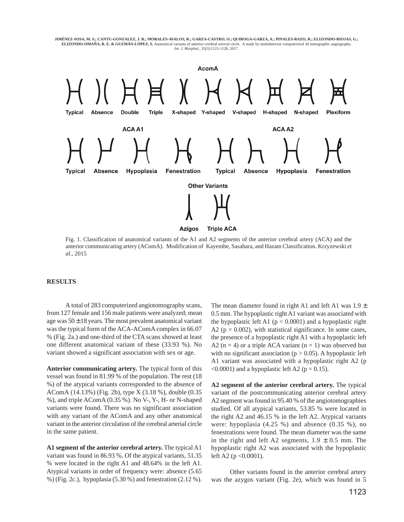



Fig. 1. Classification of anatomical variants of the A1 and A2 segments of the anterior cerebral artery (ACA) and the anterior communicating artery (AComA). Modification of Kayembe, Sasahara, and Hazam Classification. Krzyzewski *et al*., 2015

## **RESULTS**

A total of 283 computerized angiotomography scans, from 127 female and 156 male patients were analyzed; mean age was  $50 \pm 18$  years. The most prevalent anatomical variant was the typical form of the ACA-AComA complex in 66.07 % (Fig. 2a.) and one-third of the CTA scans showed at least one different anatomical variant of these (33.93 %). No variant showed a significant association with sex or age.

**Anterior communicating artery.** The typical form of this vessel was found in 81.99 % of the population. The rest (18 %) of the atypical variants corresponded to the absence of AComA (14.13%) (Fig. 2b), type X (3.18 %), double (0.35 %), and triple AComA (0.35 %). No V-, Y-, H- or N-shaped variants were found. There was no significant association with any variant of the AComA and any other anatomical variant in the anterior circulation of the cerebral arterial circle in the same patient.

**A1 segment of the anterior cerebral artery.** The typical A1 variant was found in 86.93 %. Of the atypical variants, 51.35 % were located in the right A1 and 48.64% in the left A1. Atypical variants in order of frequency were: absence (5.65 %) (Fig. 2c.), hypoplasia (5.30 %) and fenestration (2.12 %). The mean diameter found in right A1 and left A1 was  $1.9 \pm$ 0.5 mm. The hypoplastic right A1 variant was associated with the hypoplastic left A1 ( $p < 0.0001$ ) and a hypoplastic right A2 ( $p = 0.002$ ), with statistical significance. In some cases, the presence of a hypoplastic right A1 with a hypoplastic left A2 ( $n = 4$ ) or a triple ACA variant ( $n = 1$ ) was observed but with no significant association ( $p > 0.05$ ). A hypoplastic left A1 variant was associated with a hypoplastic right A2 (p  $\leq 0.0001$ ) and a hypoplastic left A2 (p = 0.15).

**A2 segment of the anterior cerebral artery.** The typical variant of the postcommunicating anterior cerebral artery A2 segment was found in 95.40 % of the angiotomographies studied. Of all atypical variants, 53.85 % were located in the right A2 and 46.15 % in the left A2. Atypical variants were: hypoplasia (4.25 %) and absence (0.35 %), no fenestrations were found. The mean diameter was the same in the right and left A2 segments,  $1.9 \pm 0.5$  mm. The hypoplastic right A2 was associated with the hypoplastic left A2 (p <0.0001).

Other variants found in the anterior cerebral artery was the azygos variant (Fig. 2e), which was found in 5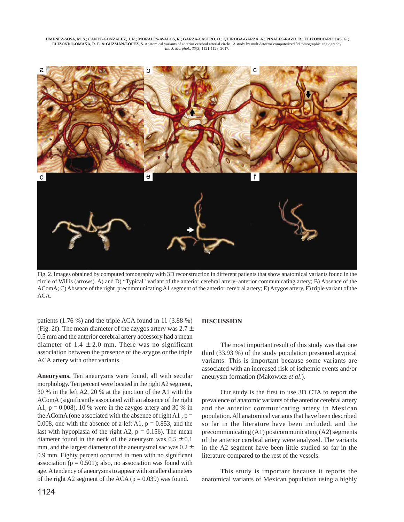

Fig. 2. Images obtained by computed tomography with 3D reconstruction in different patients that show anatomical variants found in the circle of Willis (arrows). A) and D) "Typical" variant of the anterior cerebral artery–anterior communicating artery; B) Absence of the AComA; C) Absence of the right precommunicating A1 segment of the anterior cerebral artery; E) Azygos artery, F) triple variant of the ACA.

patients (1.76 %) and the triple ACA found in 11 (3.88 %) (Fig. 2f). The mean diameter of the azygos artery was  $2.7 \pm$ 0.5 mm and the anterior cerebral artery accessory had a mean diameter of  $1.4 \pm 2.0$  mm. There was no significant association between the presence of the azygos or the triple ACA artery with other variants.

**Aneurysms.** Ten aneurysms were found, all with secular morphology. Ten percent were located in the right A2 segment, 30 % in the left A2, 20 % at the junction of the A1 with the AComA (significantly associated with an absence of the right A1,  $p = 0.008$ , 10 % were in the azygos artery and 30 % in the AComA (one associated with the absence of right A1,  $p =$ 0.008, one with the absence of a left A1,  $p = 0.853$ , and the last with hypoplasia of the right A2,  $p = 0.156$ ). The mean diameter found in the neck of the aneurysm was  $0.5 \pm 0.1$ mm, and the largest diameter of the aneurysmal sac was  $0.2 \pm$ 0.9 mm. Eighty percent occurred in men with no significant association ( $p = 0.501$ ); also, no association was found with age. A tendency of aneurysms to appear with smaller diameters of the right A2 segment of the ACA ( $p = 0.039$ ) was found.

#### **DISCUSSION**

The most important result of this study was that one third (33.93 %) of the study population presented atypical variants. This is important because some variants are associated with an increased risk of ischemic events and/or aneurysm formation (Makowicz *et al*.).

Our study is the first to use 3D CTA to report the prevalence of anatomic variants of the anterior cerebral artery and the anterior communicating artery in Mexican population. All anatomical variants that have been described so far in the literature have been included, and the precommunicating (A1) postcommunicating (A2) segments of the anterior cerebral artery were analyzed. The variants in the A2 segment have been little studied so far in the literature compared to the rest of the vessels.

This study is important because it reports the anatomical variants of Mexican population using a highly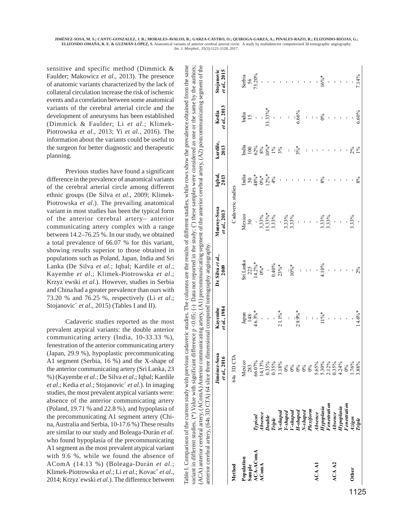> Table I. Comparison of the current study with previous cadaveric studies. The columns are the results of different studies, while rows show the prevalence obtained from the same variant in different studies. (\*) Value with significant difference p <0.05; (-) Data not reported in the study; ( $\degree$ ) these samples were considered as one or the same by the authors; (ACA) anterior cerebral artery, (AComA) Anterior communicating artery, (A1) precommunicating segment of the anterior cerebral artery, (A2) postcommunicating segment of the

reported in the

Data not

variant in different studies. (\*) Value with significant difference  $p \le 0.05$ ; (-) 1 able I. Comparison of the current study with previous cadaveric studies.

ACA) anterior cerebral artery, (AComA) Anterior communicating artery, (A1) precommunicating segment of the anterior cerebral artery, (A2) postcommunicating segment of the

The columns are the results of different studies, while rows show the prevalence obtained from the same

study; (°) these samples were considered as one or the same by the authors;

sensitive and specific method (Dimmick & Faulder; Makowicz *et al*., 2013). The presence of anatomic variants characterized by the lack of collateral circulation increase the risk of ischemic events and a correlation between some anatomical variants of the cerebral arterial circle and the development of aneurysms has been established (Dimmick & Faulder; Li *et al*.; Klimek-Piotrowska *et al*., 2013; Yi *et al*., 2016). The information about the variants could be useful to the surgeon for better diagnostic and therapeutic planning.

Previous studies have found a significant difference in the prevalence of anatomical variants of the cerebral arterial circle among different ethnic groups (De Silva *et al*., 2009; Klimek-Piotrowska *et al*.). The prevailing anatomical variant in most studies has been the typical form of the anterior cerebral artery– anterior communicating artery complex with a range between 14.2–76.25 %. In our study, we obtained a total prevalence of 66.07 % for this variant, showing results superior to those obtained in populations such as Poland, Japan, India and Sri Lanka (De Silva *et al*.; Iqbal; Kardile *et al*.; Kayembe *et al*.; Klimek-Piotrowska *et al*.; Krzyz˙ewski *et al*.). However, studies in Serbia and China had a greater prevalence than ours with 73.20 % and 76.25 %, respectively (Li *et al*.; Stojanovic´ *et al*., 2015) (Tables I and II).

Cadaveric studies reported as the most prevalent atypical variants: the double anterior communicating artery (India, 10-33.33 %), fenestration of the anterior communicating artery (Japan, 29.9 %), hypoplastic precommunicating A1 segment (Serbia, 16 %) and the X-shape of the anterior communicating artery (Sri Lanka, 23 %) (Kayembe *et al*.; De Silva *et al*.; Iqbal; Kardile *et al*.; Kedia *et al*.; Stojanovic´ *et al*.). In imaging studies, the most prevalent atypical variants were: absence of the anterior communicating artery (Poland, 19.71 % and 22.8 %), and hypoplasia of the precommunicating A1 segment artery (China, Australia and Serbia, 10-17.6 %) These results are similar to our study and Boleaga-Durán *et al*. who found hypoplasia of the precommunicating A1 segment as the most prevalent atypical variant with 9.6 %, while we found the absence of AComA (14.13 %) (Boleaga-Durán *et al*.; Klimek-Piotrowska *et al*.; Li *et al*.; Kovacˇ *et al*., 2014; Krzyz˙ewski *et al*.). The difference between

|                                   |                                                                                          | anterior cerebral artery, (64s 3D CTA) 64 slice three dimensional computed tomography angiography.                                                                                                                                                                                                                                                                                                                                                                                          |                         |                                                    |                              |                                              |                                   |                           |                                |
|-----------------------------------|------------------------------------------------------------------------------------------|---------------------------------------------------------------------------------------------------------------------------------------------------------------------------------------------------------------------------------------------------------------------------------------------------------------------------------------------------------------------------------------------------------------------------------------------------------------------------------------------|-------------------------|----------------------------------------------------|------------------------------|----------------------------------------------|-----------------------------------|---------------------------|--------------------------------|
|                                   |                                                                                          | Jiménez-Sosa<br>$et al., 2016$                                                                                                                                                                                                                                                                                                                                                                                                                                                              | et al., 1984<br>Kayembe | De Silva et al.,<br>2009                           | Monroy-Sosa<br>et al., 2013  | Iq bal,<br>2013                              | kardile,<br>2013                  | et al., 2013<br>Kedia     | et al., 2015<br>Stojanovic     |
| Method                            |                                                                                          | 64s 3D CTA                                                                                                                                                                                                                                                                                                                                                                                                                                                                                  |                         |                                                    | Cadaveric studies            |                                              |                                   |                           |                                |
|                                   |                                                                                          |                                                                                                                                                                                                                                                                                                                                                                                                                                                                                             |                         |                                                    |                              |                                              |                                   |                           |                                |
|                                   |                                                                                          |                                                                                                                                                                                                                                                                                                                                                                                                                                                                                             |                         |                                                    | Mexico<br>30                 |                                              |                                   | India<br>15               |                                |
| Population<br>Sample<br>ACA-AComA |                                                                                          |                                                                                                                                                                                                                                                                                                                                                                                                                                                                                             | Japan<br>148<br>46.3%*  |                                                    | $\overline{\phantom{a}}$     | India<br>50<br>$48\%$ *<br>0%*<br>12%*<br>4% |                                   |                           | Serbia<br>56<br>73.20%         |
| AComA                             | Typical<br>Absence                                                                       |                                                                                                                                                                                                                                                                                                                                                                                                                                                                                             |                         |                                                    |                              |                                              |                                   | $\frac{1}{2}$             |                                |
|                                   |                                                                                          |                                                                                                                                                                                                                                                                                                                                                                                                                                                                                             |                         |                                                    |                              |                                              |                                   | $33.33\%$ *               |                                |
|                                   |                                                                                          |                                                                                                                                                                                                                                                                                                                                                                                                                                                                                             |                         |                                                    | $3,33\%$<br>13.33%*<br>3.33% |                                              | India<br>100<br>62%<br>10%*<br>1% | $\overline{\phantom{a}}$  |                                |
|                                   | Double<br>Triple<br>X-shaped<br>X-shaped<br>V-shaped<br>H-shaped<br>N-shaped<br>N-shaped |                                                                                                                                                                                                                                                                                                                                                                                                                                                                                             | $-1.1\%$ *              | Sri Lanka<br>225<br>14.2%*<br>0%*<br>0.40%<br>23%* | $\overline{1}$               |                                              | 3%                                | $\mathcal{A}$             |                                |
|                                   |                                                                                          |                                                                                                                                                                                                                                                                                                                                                                                                                                                                                             |                         |                                                    |                              |                                              |                                   |                           |                                |
|                                   |                                                                                          |                                                                                                                                                                                                                                                                                                                                                                                                                                                                                             | $\overline{1}$          | $10\frac{6}{6}$ *                                  | 3.33%<br>3.33%               |                                              | $\overline{\phantom{a}}$          | $\overline{\phantom{a}}$  |                                |
|                                   |                                                                                          |                                                                                                                                                                                                                                                                                                                                                                                                                                                                                             | $2.9.9%$ *              | $\overline{\phantom{a}}$                           | $\overline{1}$               |                                              | $3\frac{6}{6}$ *                  | 6.66%                     |                                |
|                                   |                                                                                          |                                                                                                                                                                                                                                                                                                                                                                                                                                                                                             |                         |                                                    |                              |                                              |                                   |                           |                                |
|                                   |                                                                                          |                                                                                                                                                                                                                                                                                                                                                                                                                                                                                             | $\overline{1}$          | $\pm$ 0 $^{\circ}$                                 |                              |                                              | $\begin{array}{c} \end{array}$    | $\overline{1}$<br>$\perp$ |                                |
| ACA A1                            |                                                                                          |                                                                                                                                                                                                                                                                                                                                                                                                                                                                                             | $\bar{\rm T}$           |                                                    |                              |                                              |                                   |                           |                                |
|                                   | Absence<br>Hypoplasia<br>Fenestration                                                    |                                                                                                                                                                                                                                                                                                                                                                                                                                                                                             | $11\%$ *                | 4.10%                                              | 3.33%<br>3.33%               | 8%                                           |                                   | $\frac{8}{6}$             | $16\%$ *                       |
|                                   |                                                                                          |                                                                                                                                                                                                                                                                                                                                                                                                                                                                                             |                         |                                                    |                              |                                              |                                   |                           |                                |
| ACA A2                            | <b>Absence</b>                                                                           |                                                                                                                                                                                                                                                                                                                                                                                                                                                                                             |                         |                                                    | $\overline{\phantom{a}}$     |                                              |                                   | $\mathbf{I}$              |                                |
|                                   | Hypoplasia                                                                               |                                                                                                                                                                                                                                                                                                                                                                                                                                                                                             |                         |                                                    | $\bar{\mathcal{A}}$          |                                              |                                   | $\mathbf{I}$              | $\alpha$ , $\alpha$ , $\alpha$ |
|                                   | F enestrati on                                                                           |                                                                                                                                                                                                                                                                                                                                                                                                                                                                                             | $\bar{z}$               |                                                    |                              |                                              |                                   | $\mathbf{I}$              |                                |
| Other                             |                                                                                          |                                                                                                                                                                                                                                                                                                                                                                                                                                                                                             |                         |                                                    | 3.33%                        |                                              |                                   |                           |                                |
|                                   | Azigos<br>Triple                                                                         | $\begin{array}{l} \text{Meas} \\ \text{Meas} \\ \text{Meas} \\ \text{Meas} \\ \text{Meas} \\ \text{Meas} \\ \text{Meas} \\ \text{Meas} \\ \text{Meas} \\ \text{Meas} \\ \text{Meas} \\ \text{Meas} \\ \text{Meas} \\ \text{Meas} \\ \text{Meas} \\ \text{Meas} \\ \text{Meas} \\ \text{Meas} \\ \text{Meas} \\ \text{Meas} \\ \text{Meas} \\ \text{Meas} \\ \text{Meas} \\ \text{Meas} \\ \text{Meas} \\ \text{Meas} \\ \text{Meas} \\ \text{Meas} \\ \text{Meas} \\ \text{Meas} \\ \text{$ | $14.6\%$ *              | 2%                                                 |                              | $8\%$                                        | $2%$<br>1%                        | 6.60%                     | 7.14%                          |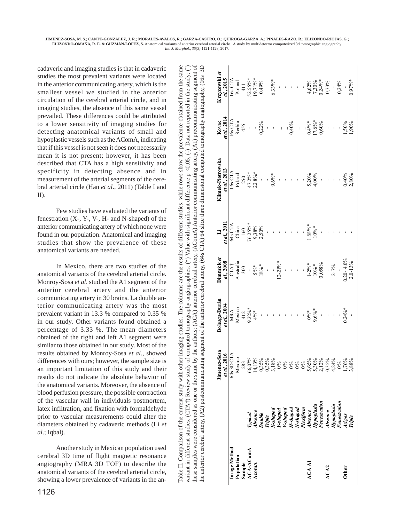cadaveric and imaging studies is that in cadaveric studies the most prevalent variants were located in the anterior communicating artery, which is the smallest vessel we studied in the anterior circulation of the cerebral arterial circle, and in imaging studies, the absence of this same vessel prevailed. These differences could be attributed to a lower sensitivity of imaging studies for detecting anatomical variants of small and hypoplastic vessels such as the AComA, indicating that if this vessel is not seen it does not necessarily mean it is not present; however, it has been described that CTA has a high sensitivity and specificity in detecting absence and in measurement of the arterial segments of the cerebral arterial circle (Han *et al*., 2011) (Table I and II).

Few studies have evaluated the variants of fenestration (X-, Y-, V-, H- and N-shaped) of the anterior communicating artery of which none were found in our population. Anatomical and imaging studies that show the prevalence of these anatomical variants are needed.

In Mexico, there are two studies of the anatomical variants of the cerebral arterial circle. Monroy-Sosa *et al*. studied the A1 segment of the anterior cerebral artery and the anterior communicating artery in 30 brains. La double anterior communicating artery was the most prevalent variant in 13.3 % compared to 0.35 % in our study. Other variants found obtained a percentage of 3.33 %. The mean diameters obtained of the right and left A1 segment were similar to those obtained in our study. Most of the results obtained by Monroy-Sosa *et al*., showed differences with ours; however, the sample size is an important limitation of this study and their results do not indicate the absolute behavior of the anatomical variants. Moreover, the absence of blood perfusion pressure, the possible contraction of the vascular wall in individuals postmortem, latex infiltration, and fixation with formaldehyde prior to vascular measurements could alter the diameters obtained by cadaveric methods (Li *et al*.; Iqbal).

Another study in Mexican population used cerebral 3D time of flight magnetic resonance angiography (MRA 3D TOF) to describe the anatomical variants of the cerebral arterial circle, showing a lower prevalence of variants in the an-

| of computed tomography angiographies; (*) Value with significant difference p <0.05, (-) Data not reported in the study; (' |                                                     |                                                 |                                                                                                                                                                                                                                                                                                       |
|-----------------------------------------------------------------------------------------------------------------------------|-----------------------------------------------------|-------------------------------------------------|-------------------------------------------------------------------------------------------------------------------------------------------------------------------------------------------------------------------------------------------------------------------------------------------------------|
|                                                                                                                             |                                                     |                                                 |                                                                                                                                                                                                                                                                                                       |
|                                                                                                                             | variant in different studies. $(CTA+)$ Review study | hese samples were considered as one or the same | by the authors; (ACA) anterior cerebral artery, (AComA) Anterior communicating artery, (A1) precommunicating segment of<br>ng segment of the anterior cerebral artery, (64s CTA) 64 slice three dimensional computed tomography angiography, (16s 3D<br>the anterior cerebral artery, (A2) postcommun |

| mage Method                       |                                                                                                                     | Jimenez-Sosa                                                                                                                                                                                                                                                      | Boleaga-Durán                         | Dimmickel                                                  |                                                                                                                                                                | Klimek-Piotrowska                                                                                                                                                                        | Kovac                        | Krzyzewski et                                                                                                                         |
|-----------------------------------|---------------------------------------------------------------------------------------------------------------------|-------------------------------------------------------------------------------------------------------------------------------------------------------------------------------------------------------------------------------------------------------------------|---------------------------------------|------------------------------------------------------------|----------------------------------------------------------------------------------------------------------------------------------------------------------------|------------------------------------------------------------------------------------------------------------------------------------------------------------------------------------------|------------------------------|---------------------------------------------------------------------------------------------------------------------------------------|
|                                   |                                                                                                                     | et al., 2016                                                                                                                                                                                                                                                      | et al., 2004                          | al., 2008                                                  | 1/201                                                                                                                                                          | et al., 2013                                                                                                                                                                             | et al., 2014                 | al., 2015                                                                                                                             |
|                                   |                                                                                                                     | 64s 3D CTA                                                                                                                                                                                                                                                        | MRA<br>Mexico<br>412<br>9.22%*<br>4%* |                                                            | $\begin{array}{l} \mbox{64s CTA} \\ \mbox{Chima} \\ \mbox{160} \\ \mbox{160} \\ \mbox{76.25\%} \\ \mbox{9,38\%} \\ \mbox{2,50\%} \\ \mbox{2,50\%} \end{array}$ |                                                                                                                                                                                          | $16s$ CTA<br>Serbia<br>$455$ | $\begin{array}{c} \text{16s CTA} \\ \text{Poland} \\ \text{411} \\ \text{52.55}\% \\ \text{19.71}\% \\ \text{*}\\ 0,49\% \end{array}$ |
|                                   |                                                                                                                     | Mexico                                                                                                                                                                                                                                                            |                                       |                                                            |                                                                                                                                                                |                                                                                                                                                                                          |                              |                                                                                                                                       |
|                                   |                                                                                                                     |                                                                                                                                                                                                                                                                   |                                       |                                                            |                                                                                                                                                                |                                                                                                                                                                                          |                              |                                                                                                                                       |
| Population<br>Sample<br>ACA-AComA |                                                                                                                     |                                                                                                                                                                                                                                                                   |                                       |                                                            |                                                                                                                                                                |                                                                                                                                                                                          |                              |                                                                                                                                       |
| AcomA                             |                                                                                                                     |                                                                                                                                                                                                                                                                   |                                       |                                                            |                                                                                                                                                                |                                                                                                                                                                                          |                              |                                                                                                                                       |
|                                   |                                                                                                                     |                                                                                                                                                                                                                                                                   |                                       | CTA†<br>Australia<br>300<br>5%*<br>5%*                     |                                                                                                                                                                | $\begin{array}{l} 168 \, \text{CTA} \\ \text{Poland} \\ 250 \\ 47.2\% \\ 22.8\% \\ \text{\textcolor{red}{\bullet}} \\ 22.8\% \\ \text{\textcolor{red}{\bullet}} \\ 9.6\% \\ \end{array}$ | $0,22\%$                     |                                                                                                                                       |
|                                   |                                                                                                                     |                                                                                                                                                                                                                                                                   |                                       | $\frac{1}{2}$                                              |                                                                                                                                                                |                                                                                                                                                                                          |                              |                                                                                                                                       |
|                                   |                                                                                                                     |                                                                                                                                                                                                                                                                   |                                       | $12-21%$ *                                                 |                                                                                                                                                                |                                                                                                                                                                                          |                              | $6.33\%$ *                                                                                                                            |
|                                   |                                                                                                                     |                                                                                                                                                                                                                                                                   |                                       |                                                            |                                                                                                                                                                |                                                                                                                                                                                          | $\bar{\mathcal{A}}$          | $\frac{1}{2}$                                                                                                                         |
|                                   |                                                                                                                     |                                                                                                                                                                                                                                                                   |                                       |                                                            |                                                                                                                                                                |                                                                                                                                                                                          |                              |                                                                                                                                       |
|                                   | Typical<br>Absence<br>Double<br>Triple<br>X-shaped<br>V-shaped<br>Lippoplasia<br>Herisore<br>Hopplasia<br>Hopplasia | $\begin{array}{l} 283\\ 0607\%\\ 65.13\%\\ 03.33\%\\ 04.13\%\\ 05.13\%\\ 06.13\%\\ 07.13\%\\ 08\%\\ 09.8\%\\ 09.8\%\\ 09.8\%\\ 09.8\%\\ 09.8\%\\ 09.8\%\\ 09.8\%\\ 09.8\%\\ 09.8\%\\ 09.8\%\\ 09.8\%\\ 09.8\%\\ 09.8\%\\ 09.8\%\\ 09.8\%\\ 09.8\%\\ 09.8\%\\ 09.$ |                                       |                                                            |                                                                                                                                                                |                                                                                                                                                                                          | 0,40%                        |                                                                                                                                       |
|                                   |                                                                                                                     |                                                                                                                                                                                                                                                                   |                                       |                                                            |                                                                                                                                                                |                                                                                                                                                                                          | $\overline{1}$               |                                                                                                                                       |
|                                   |                                                                                                                     |                                                                                                                                                                                                                                                                   |                                       |                                                            |                                                                                                                                                                |                                                                                                                                                                                          |                              |                                                                                                                                       |
| ACA AI                            |                                                                                                                     |                                                                                                                                                                                                                                                                   | $0\%$ *<br>9.6%*                      |                                                            | $1.88\%$ <sup>*</sup>                                                                                                                                          | 5,20%<br>4,00%                                                                                                                                                                           |                              |                                                                                                                                       |
|                                   |                                                                                                                     |                                                                                                                                                                                                                                                                   |                                       |                                                            |                                                                                                                                                                |                                                                                                                                                                                          |                              |                                                                                                                                       |
|                                   |                                                                                                                     |                                                                                                                                                                                                                                                                   |                                       |                                                            |                                                                                                                                                                |                                                                                                                                                                                          | $0.4\%$ *<br>17.6%*<br>0,60% |                                                                                                                                       |
| ACA2                              | Absence<br>Hypoplasia<br>Fenestration                                                                               |                                                                                                                                                                                                                                                                   |                                       | $1 - \frac{296*}{10%}$<br>$1.0\%$<br>0.058%<br>$-$<br>2-7% |                                                                                                                                                                |                                                                                                                                                                                          |                              | 4,62%<br>7,30%<br>0,73%<br>0,24%                                                                                                      |
|                                   |                                                                                                                     |                                                                                                                                                                                                                                                                   |                                       |                                                            |                                                                                                                                                                |                                                                                                                                                                                          |                              |                                                                                                                                       |
|                                   |                                                                                                                     |                                                                                                                                                                                                                                                                   |                                       | $\overline{\phantom{a}}$                                   |                                                                                                                                                                |                                                                                                                                                                                          |                              |                                                                                                                                       |
| Other                             |                                                                                                                     |                                                                                                                                                                                                                                                                   | $0.24\%$ *                            | $0.20 - 4.0\%$<br>2.0-13%                                  |                                                                                                                                                                |                                                                                                                                                                                          | 50%                          |                                                                                                                                       |
|                                   | Azigos<br>Triple                                                                                                    |                                                                                                                                                                                                                                                                   |                                       |                                                            |                                                                                                                                                                | 0,40%<br>2,80%                                                                                                                                                                           |                              | $0.97\%$ *                                                                                                                            |

**JIMÉNEZ-SOSA, M. S.; CANTU-GONZALEZ, J. R.; MORALES-AVALOS, R.; GARZA-CASTRO, O.; QUIROGA-GARZA, A.; PINALES-RAZO, R.; ELIZONDO-RIOJAS, G.; ELIZONDO-OMAÑA, R. E. & GUZMÁN-LÓPEZ, S.** Anatomical variants of anterior cerebral arterial circle. A study by multidetector computerized 3d tomographic angiography. *Int. J. Morphol., 35(3)*:1121-1128, 2017.

 $B \cap B$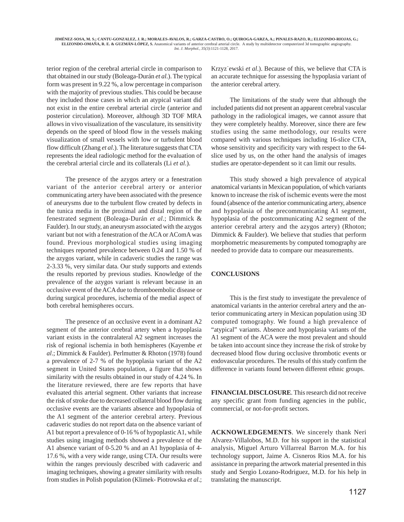terior region of the cerebral arterial circle in comparison to that obtained in our study (Boleaga-Durán *et al*.). The typical form was present in 9.22 %, a low percentage in comparison with the majority of previous studies. This could be because they included those cases in which an atypical variant did not exist in the entire cerebral arterial circle (anterior and posterior circulation). Moreover, although 3D TOF MRA allows in vivo visualization of the vasculature, its sensitivity depends on the speed of blood flow in the vessels making visualization of small vessels with low or turbulent blood flow difficult (Zhang *et al*.). The literature suggests that CTA represents the ideal radiologic method for the evaluation of the cerebral arterial circle and its collaterals (Li *et al*.).

The presence of the azygos artery or a fenestration variant of the anterior cerebral artery or anterior communicating artery have been associated with the presence of aneurysms due to the turbulent flow created by defects in the tunica media in the proximal and distal region of the fenestrated segment (Boleaga-Durán *et al*.; Dimmick & Faulder). In our study, an aneurysm associated with the azygos variant but not with a fenestration of the ACA or AComA was found. Previous morphological studies using imaging techniques reported prevalence between 0.24 and 1.50 % of the azygos variant, while in cadaveric studies the range was 2-3.33 %, very similar data. Our study supports and extends the results reported by previous studies. Knowledge of the prevalence of the azygos variant is relevant because in an occlusive event of the ACA due to thromboembolic disease or during surgical procedures, ischemia of the medial aspect of both cerebral hemispheres occurs.

The presence of an occlusive event in a dominant A2 segment of the anterior cerebral artery when a hypoplasia variant exists in the contralateral A2 segment increases the risk of regional ischemia in both hemispheres (Kayembe *et al*.; Dimmick & Faulder). Perlmutter & Rhoton (1978) found a prevalence of 2-7 % of the hypoplasia variant of the A2 segment in United States population, a figure that shows similarity with the results obtained in our study of 4.24 %. In the literature reviewed, there are few reports that have evaluated this arterial segment. Other variants that increase the risk of stroke due to decreased collateral blood flow during occlusive events are the variants absence and hypoplasia of the A1 segment of the anterior cerebral artery. Previous cadaveric studies do not report data on the absence variant of A1 but report a prevalence of 0-16 % of hypoplastic A1, while studies using imaging methods showed a prevalence of the A1 absence variant of 0-5.20 % and an A1 hypoplasia of 4- 17.6 %, with a very wide range, using CTA. Our results were within the ranges previously described with cadaveric and imaging techniques, showing a greater similarity with results from studies in Polish population (Klimek- Piotrowska *et al*.;

Krzyz˙ewski *et al*.). Because of this, we believe that CTA is an accurate technique for assessing the hypoplasia variant of the anterior cerebral artery.

The limitations of the study were that although the included patients did not present an apparent cerebral vascular pathology in the radiological images, we cannot assure that they were completely healthy. Moreover, since there are few studies using the same methodology, our results were compared with various techniques including 16-slice CTA, whose sensitivity and specificity vary with respect to the 64 slice used by us, on the other hand the analysis of images studies are operator-dependent so it can limit our results.

This study showed a high prevalence of atypical anatomical variants in Mexican population, of which variants known to increase the risk of ischemic events were the most found (absence of the anterior communicating artery, absence and hypoplasia of the precommunicating A1 segment, hypoplasia of the postcommunicating A2 segment of the anterior cerebral artery and the azygos artery) (Rhoton; Dimmick & Faulder). We believe that studies that perform morphometric measurements by computed tomography are needed to provide data to compare our measurements.

#### **CONCLUSIONS**

This is the first study to investigate the prevalence of anatomical variants in the anterior cerebral artery and the anterior communicating artery in Mexican population using 3D computed tomography. We found a high prevalence of "atypical" variants. Absence and hypoplasia variants of the A1 segment of the ACA were the most prevalent and should be taken into account since they increase the risk of stroke by decreased blood flow during occlusive thrombotic events or endovascular procedures. The results of this study confirm the difference in variants found between different ethnic groups.

**FINANCIAL DISCLOSURE**. This research did not receive any specific grant from funding agencies in the public, commercial, or not-for-profit sectors.

**ACKNOWLEDGEMENTS**. We sincerely thank Neri Alvarez-Villalobos, M.D. for his support in the statistical analysis, Miguel Arturo Villarreal Barron M.A. for his technology support, Jaime A. Cisneros Rios M.A. for his assistance in preparing the artwork material presented in this study and Sergio Lozano-Rodriguez, M.D. for his help in translating the manuscript.